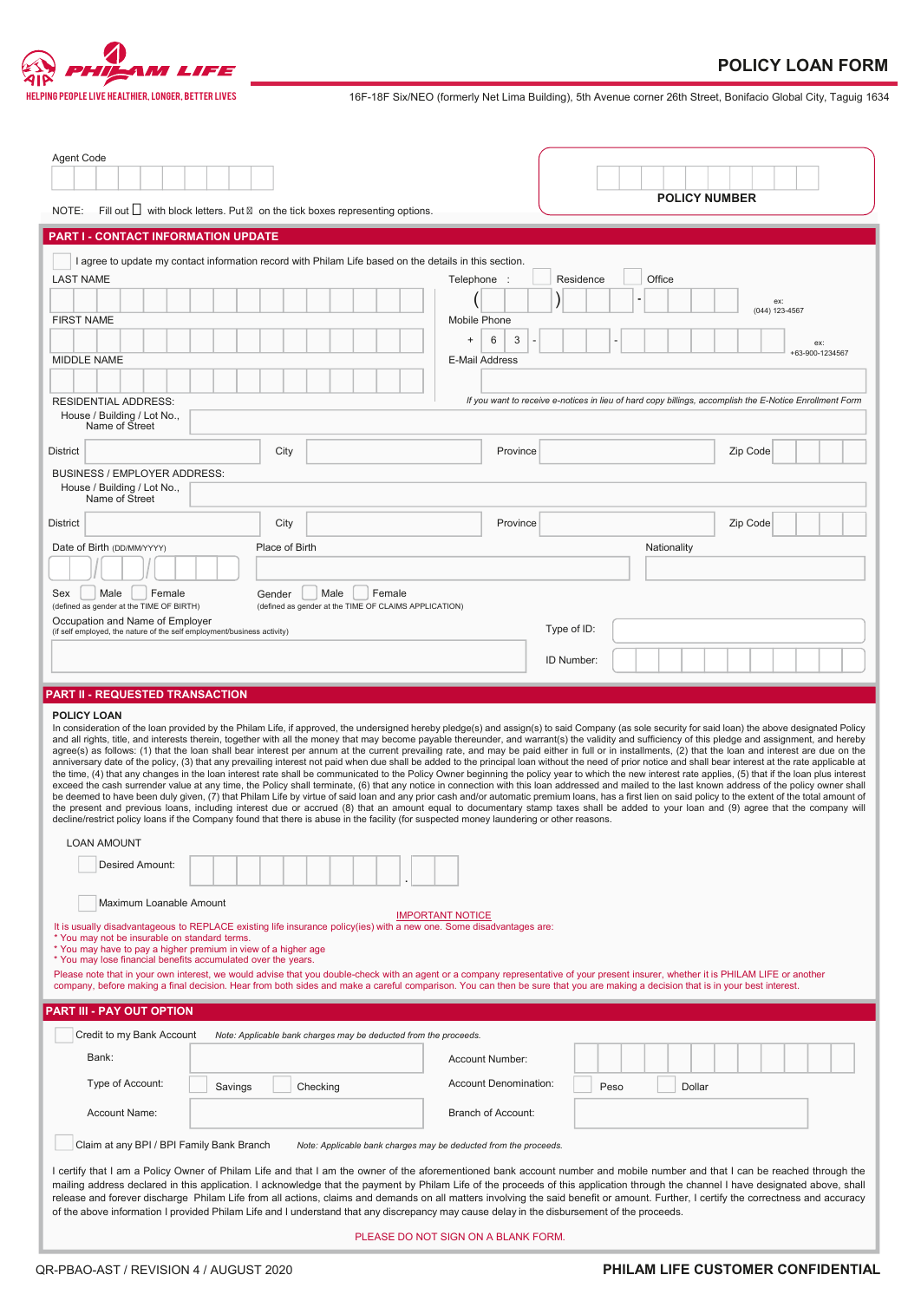

---<br>ELPING PEOPLE LIVE HEALTHIER, LONGER, BETTER LIVES THE LIVES THE SIX/NEO (formerly Net Lima Building), 5th Avenue corner 26th Street, Bonifacio Global City, Taguig 1634

| Agent Code<br><b>POLICY NUMBER</b><br>Fill out $\Box$ with block letters. Put on the tick boxes representing options.<br>NOTE:                                                                                                                                                                                                                                                                                                                                                                                                                                                                                                                                                                                                                                                                                                                                                                                                                                                                                                                                                                                                                                                                                                                                                                                                                                                                                                                                                                                                                                                                                                                                                                                                                                                                                         |                        |  |  |  |  |  |
|------------------------------------------------------------------------------------------------------------------------------------------------------------------------------------------------------------------------------------------------------------------------------------------------------------------------------------------------------------------------------------------------------------------------------------------------------------------------------------------------------------------------------------------------------------------------------------------------------------------------------------------------------------------------------------------------------------------------------------------------------------------------------------------------------------------------------------------------------------------------------------------------------------------------------------------------------------------------------------------------------------------------------------------------------------------------------------------------------------------------------------------------------------------------------------------------------------------------------------------------------------------------------------------------------------------------------------------------------------------------------------------------------------------------------------------------------------------------------------------------------------------------------------------------------------------------------------------------------------------------------------------------------------------------------------------------------------------------------------------------------------------------------------------------------------------------|------------------------|--|--|--|--|--|
| <b>PART I - CONTACT INFORMATION UPDATE</b>                                                                                                                                                                                                                                                                                                                                                                                                                                                                                                                                                                                                                                                                                                                                                                                                                                                                                                                                                                                                                                                                                                                                                                                                                                                                                                                                                                                                                                                                                                                                                                                                                                                                                                                                                                             |                        |  |  |  |  |  |
|                                                                                                                                                                                                                                                                                                                                                                                                                                                                                                                                                                                                                                                                                                                                                                                                                                                                                                                                                                                                                                                                                                                                                                                                                                                                                                                                                                                                                                                                                                                                                                                                                                                                                                                                                                                                                        |                        |  |  |  |  |  |
| I agree to update my contact information record with Philam Life based on the details in this section.<br>Residence<br>Office<br><b>LAST NAME</b><br>Telephone                                                                                                                                                                                                                                                                                                                                                                                                                                                                                                                                                                                                                                                                                                                                                                                                                                                                                                                                                                                                                                                                                                                                                                                                                                                                                                                                                                                                                                                                                                                                                                                                                                                         |                        |  |  |  |  |  |
| <b>FIRST NAME</b><br>Mobile Phone                                                                                                                                                                                                                                                                                                                                                                                                                                                                                                                                                                                                                                                                                                                                                                                                                                                                                                                                                                                                                                                                                                                                                                                                                                                                                                                                                                                                                                                                                                                                                                                                                                                                                                                                                                                      | ex:<br>(044) 123-4567  |  |  |  |  |  |
| 6<br>3<br>$\begin{array}{c} + \end{array}$<br><b>MIDDLE NAME</b><br><b>E-Mail Address</b>                                                                                                                                                                                                                                                                                                                                                                                                                                                                                                                                                                                                                                                                                                                                                                                                                                                                                                                                                                                                                                                                                                                                                                                                                                                                                                                                                                                                                                                                                                                                                                                                                                                                                                                              | ex:<br>+63-900-1234567 |  |  |  |  |  |
|                                                                                                                                                                                                                                                                                                                                                                                                                                                                                                                                                                                                                                                                                                                                                                                                                                                                                                                                                                                                                                                                                                                                                                                                                                                                                                                                                                                                                                                                                                                                                                                                                                                                                                                                                                                                                        |                        |  |  |  |  |  |
| If you want to receive e-notices in lieu of hard copy billings, accomplish the E-Notice Enrollment Form<br><b>RESIDENTIAL ADDRESS:</b><br>House / Building / Lot No.,<br>Name of Street                                                                                                                                                                                                                                                                                                                                                                                                                                                                                                                                                                                                                                                                                                                                                                                                                                                                                                                                                                                                                                                                                                                                                                                                                                                                                                                                                                                                                                                                                                                                                                                                                                |                        |  |  |  |  |  |
| City<br><b>District</b><br>Province                                                                                                                                                                                                                                                                                                                                                                                                                                                                                                                                                                                                                                                                                                                                                                                                                                                                                                                                                                                                                                                                                                                                                                                                                                                                                                                                                                                                                                                                                                                                                                                                                                                                                                                                                                                    | Zip Code               |  |  |  |  |  |
| <b>BUSINESS / EMPLOYER ADDRESS:</b><br>House / Building / Lot No.,                                                                                                                                                                                                                                                                                                                                                                                                                                                                                                                                                                                                                                                                                                                                                                                                                                                                                                                                                                                                                                                                                                                                                                                                                                                                                                                                                                                                                                                                                                                                                                                                                                                                                                                                                     |                        |  |  |  |  |  |
| Name of Street                                                                                                                                                                                                                                                                                                                                                                                                                                                                                                                                                                                                                                                                                                                                                                                                                                                                                                                                                                                                                                                                                                                                                                                                                                                                                                                                                                                                                                                                                                                                                                                                                                                                                                                                                                                                         |                        |  |  |  |  |  |
| City<br><b>District</b><br>Province                                                                                                                                                                                                                                                                                                                                                                                                                                                                                                                                                                                                                                                                                                                                                                                                                                                                                                                                                                                                                                                                                                                                                                                                                                                                                                                                                                                                                                                                                                                                                                                                                                                                                                                                                                                    | Zip Code               |  |  |  |  |  |
| Date of Birth (DD/MM/YYYY)<br>Place of Birth<br>Nationality                                                                                                                                                                                                                                                                                                                                                                                                                                                                                                                                                                                                                                                                                                                                                                                                                                                                                                                                                                                                                                                                                                                                                                                                                                                                                                                                                                                                                                                                                                                                                                                                                                                                                                                                                            |                        |  |  |  |  |  |
| Male<br>Female<br>Male<br>Female<br>Sex<br>Gender                                                                                                                                                                                                                                                                                                                                                                                                                                                                                                                                                                                                                                                                                                                                                                                                                                                                                                                                                                                                                                                                                                                                                                                                                                                                                                                                                                                                                                                                                                                                                                                                                                                                                                                                                                      |                        |  |  |  |  |  |
| (defined as gender at the TIME OF BIRTH)<br>(defined as gender at the TIME OF CLAIMS APPLICATION)                                                                                                                                                                                                                                                                                                                                                                                                                                                                                                                                                                                                                                                                                                                                                                                                                                                                                                                                                                                                                                                                                                                                                                                                                                                                                                                                                                                                                                                                                                                                                                                                                                                                                                                      |                        |  |  |  |  |  |
| Occupation and Name of Employer<br>Type of ID:<br>(if self employed, the nature of the self employment/business activity)                                                                                                                                                                                                                                                                                                                                                                                                                                                                                                                                                                                                                                                                                                                                                                                                                                                                                                                                                                                                                                                                                                                                                                                                                                                                                                                                                                                                                                                                                                                                                                                                                                                                                              |                        |  |  |  |  |  |
| ID Number:                                                                                                                                                                                                                                                                                                                                                                                                                                                                                                                                                                                                                                                                                                                                                                                                                                                                                                                                                                                                                                                                                                                                                                                                                                                                                                                                                                                                                                                                                                                                                                                                                                                                                                                                                                                                             |                        |  |  |  |  |  |
|                                                                                                                                                                                                                                                                                                                                                                                                                                                                                                                                                                                                                                                                                                                                                                                                                                                                                                                                                                                                                                                                                                                                                                                                                                                                                                                                                                                                                                                                                                                                                                                                                                                                                                                                                                                                                        |                        |  |  |  |  |  |
| <b>PART II - REQUESTED TRANSACTION</b>                                                                                                                                                                                                                                                                                                                                                                                                                                                                                                                                                                                                                                                                                                                                                                                                                                                                                                                                                                                                                                                                                                                                                                                                                                                                                                                                                                                                                                                                                                                                                                                                                                                                                                                                                                                 |                        |  |  |  |  |  |
| <b>POLICY LOAN</b><br>In consideration of the loan provided by the Philam Life, if approved, the undersigned hereby pledge(s) and assign(s) to said Company (as sole security for said loan) the above designated Policy<br>and all rights, title, and interests therein, together with all the money that may become payable thereunder, and warrant(s) the validity and sufficiency of this pledge and assignment, and hereby<br>agree(s) as follows: (1) that the loan shall bear interest per annum at the current prevailing rate, and may be paid either in full or in installments, (2) that the loan and interest are due on the<br>anniversary date of the policy, (3) that any prevailing interest not paid when due shall be added to the principal loan without the need of prior notice and shall bear interest at the rate applicable at<br>the time, (4) that any changes in the loan interest rate shall be communicated to the Policy Owner beginning the policy year to which the new interest rate applies, (5) that if the loan plus interest<br>exceed the cash surrender value at any time, the Policy shall terminate, (6) that any notice in connection with this loan addressed and mailed to the last known address of the policy owner shall<br>be deemed to have been duly given, (7) that Philam Life by virtue of said loan and any prior cash and/or automatic premium loans, has a first lien on said policy to the extent of the total amount of<br>the present and previous loans, including interest due or accrued (8) that an amount equal to documentary stamp taxes shall be added to your loan and (9) agree that the company will<br>decline/restrict policy loans if the Company found that there is abuse in the facility (for suspected money laundering or other reasons. |                        |  |  |  |  |  |
| <b>LOAN AMOUNT</b>                                                                                                                                                                                                                                                                                                                                                                                                                                                                                                                                                                                                                                                                                                                                                                                                                                                                                                                                                                                                                                                                                                                                                                                                                                                                                                                                                                                                                                                                                                                                                                                                                                                                                                                                                                                                     |                        |  |  |  |  |  |
| <b>Desired Amount:</b>                                                                                                                                                                                                                                                                                                                                                                                                                                                                                                                                                                                                                                                                                                                                                                                                                                                                                                                                                                                                                                                                                                                                                                                                                                                                                                                                                                                                                                                                                                                                                                                                                                                                                                                                                                                                 |                        |  |  |  |  |  |
| Maximum Loanable Amount                                                                                                                                                                                                                                                                                                                                                                                                                                                                                                                                                                                                                                                                                                                                                                                                                                                                                                                                                                                                                                                                                                                                                                                                                                                                                                                                                                                                                                                                                                                                                                                                                                                                                                                                                                                                |                        |  |  |  |  |  |
| <b>IMPORTANT NOTICE</b><br>It is usually disadvantageous to REPLACE existing life insurance policy(ies) with a new one. Some disadvantages are:<br>* You may not be insurable on standard terms.<br>* You may have to pay a higher premium in view of a higher age<br>* You may lose financial benefits accumulated over the years.<br>Please note that in your own interest, we would advise that you double-check with an agent or a company representative of your present insurer, whether it is PHILAM LIFE or another<br>company, before making a final decision. Hear from both sides and make a careful comparison. You can then be sure that you are making a decision that is in your best interest.                                                                                                                                                                                                                                                                                                                                                                                                                                                                                                                                                                                                                                                                                                                                                                                                                                                                                                                                                                                                                                                                                                         |                        |  |  |  |  |  |
|                                                                                                                                                                                                                                                                                                                                                                                                                                                                                                                                                                                                                                                                                                                                                                                                                                                                                                                                                                                                                                                                                                                                                                                                                                                                                                                                                                                                                                                                                                                                                                                                                                                                                                                                                                                                                        |                        |  |  |  |  |  |
| PART III - PAY OUT OPTION                                                                                                                                                                                                                                                                                                                                                                                                                                                                                                                                                                                                                                                                                                                                                                                                                                                                                                                                                                                                                                                                                                                                                                                                                                                                                                                                                                                                                                                                                                                                                                                                                                                                                                                                                                                              |                        |  |  |  |  |  |
| Credit to my Bank Account<br>Note: Applicable bank charges may be deducted from the proceeds.                                                                                                                                                                                                                                                                                                                                                                                                                                                                                                                                                                                                                                                                                                                                                                                                                                                                                                                                                                                                                                                                                                                                                                                                                                                                                                                                                                                                                                                                                                                                                                                                                                                                                                                          |                        |  |  |  |  |  |
| Bank:<br>Account Number:                                                                                                                                                                                                                                                                                                                                                                                                                                                                                                                                                                                                                                                                                                                                                                                                                                                                                                                                                                                                                                                                                                                                                                                                                                                                                                                                                                                                                                                                                                                                                                                                                                                                                                                                                                                               |                        |  |  |  |  |  |
| Type of Account:<br>Account Denomination:<br>Checking<br>Peso<br>Savings<br>Dollar                                                                                                                                                                                                                                                                                                                                                                                                                                                                                                                                                                                                                                                                                                                                                                                                                                                                                                                                                                                                                                                                                                                                                                                                                                                                                                                                                                                                                                                                                                                                                                                                                                                                                                                                     |                        |  |  |  |  |  |
| Account Name:<br><b>Branch of Account:</b>                                                                                                                                                                                                                                                                                                                                                                                                                                                                                                                                                                                                                                                                                                                                                                                                                                                                                                                                                                                                                                                                                                                                                                                                                                                                                                                                                                                                                                                                                                                                                                                                                                                                                                                                                                             |                        |  |  |  |  |  |
| Claim at any BPI / BPI Family Bank Branch<br>Note: Applicable bank charges may be deducted from the proceeds.                                                                                                                                                                                                                                                                                                                                                                                                                                                                                                                                                                                                                                                                                                                                                                                                                                                                                                                                                                                                                                                                                                                                                                                                                                                                                                                                                                                                                                                                                                                                                                                                                                                                                                          |                        |  |  |  |  |  |